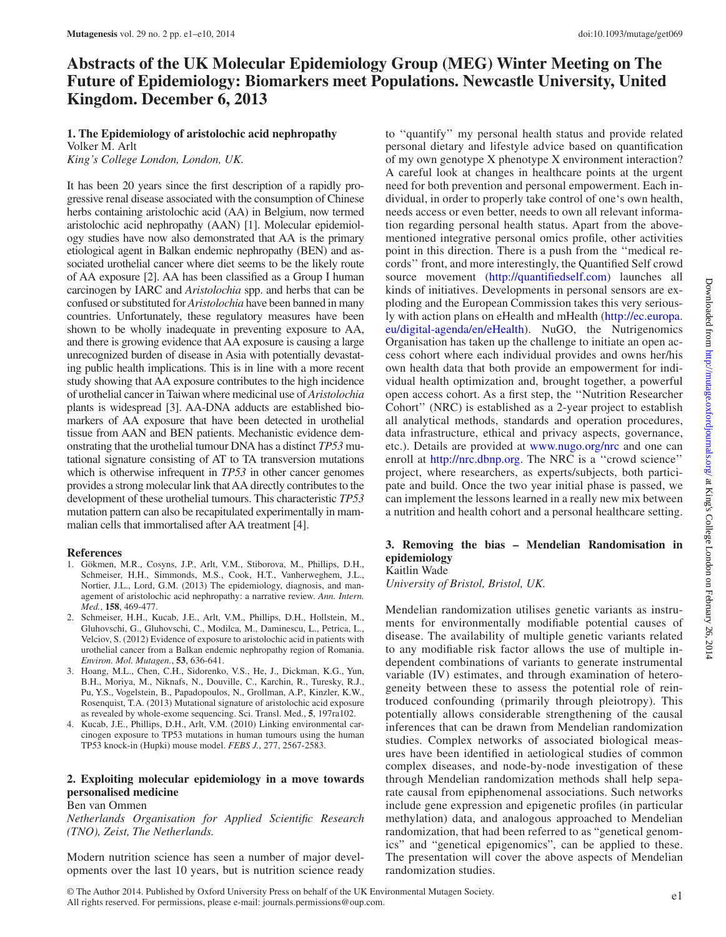# **Abstracts of the UK Molecular Epidemiology Group (MEG) Winter Meeting on The Future of Epidemiology: Biomarkers meet Populations. Newcastle University, United Kingdom. December 6, 2013**

### **1. The Epidemiology of aristolochic acid nephropathy** Volker M. Arlt

*King's College London, London, UK.*

It has been 20 years since the first description of a rapidly progressive renal disease associated with the consumption of Chinese herbs containing aristolochic acid (AA) in Belgium, now termed aristolochic acid nephropathy (AAN) [1]. Molecular epidemiology studies have now also demonstrated that AA is the primary etiological agent in Balkan endemic nephropathy (BEN) and associated urothelial cancer where diet seems to be the likely route of AA exposure [2]. AA has been classified as a Group I human carcinogen by IARC and *Aristolochia* spp. and herbs that can be confused or substituted for *Aristolochia* have been banned in many countries. Unfortunately, these regulatory measures have been shown to be wholly inadequate in preventing exposure to AA, and there is growing evidence that AA exposure is causing a large unrecognized burden of disease in Asia with potentially devastating public health implications. This is in line with a more recent study showing that AA exposure contributes to the high incidence of urothelial cancer in Taiwan where medicinal use of *Aristolochia* plants is widespread [3]. AA-DNA adducts are established biomarkers of AA exposure that have been detected in urothelial tissue from AAN and BEN patients. Mechanistic evidence demonstrating that the urothelial tumour DNA has a distinct *TP53* mutational signature consisting of AT to TA transversion mutations which is otherwise infrequent in *TP53* in other cancer genomes provides a strong molecular link that AA directly contributes to the development of these urothelial tumours. This characteristic *TP53* mutation pattern can also be recapitulated experimentally in mammalian cells that immortalised after AA treatment [4].

#### **References**

- 1. Gökmen, M.R., Cosyns, J.P., Arlt, V.M., Stiborova, M., Phillips, D.H., Schmeiser, H.H., Simmonds, M.S., Cook, H.T., Vanherweghem, J.L., Nortier, J.L., Lord, G.M. (2013) The epidemiology, diagnosis, and management of aristolochic acid nephropathy: a narrative review. *Ann. Intern. Med.*, **158**, 469-477.
- 2. Schmeiser, H.H., Kucab, J.E., Arlt, V.M., Phillips, D.H., Hollstein, M., Gluhovschi, G., Gluhovschi, C., Modilca, M., Daminescu, L., Petrica, L., Velciov, S. (2012) Evidence of exposure to aristolochic acid in patients with urothelial cancer from a Balkan endemic nephropathy region of Romania. *Environ. Mol. Mutagen.*, **53**, 636-641.
- 3. Hoang, M.L., Chen, C.H., Sidorenko, V.S., He, J., Dickman, K.G., Yun, B.H., Moriya, M., Niknafs, N., Douville, C., Karchin, R., Turesky, R.J., Pu, Y.S., Vogelstein, B., Papadopoulos, N., Grollman, A.P., Kinzler, K.W., Rosenquist, T.A. (2013) Mutational signature of aristolochic acid exposure as revealed by whole-exome sequencing. Sci. Transl. Med., **5**, 197ra102.
- 4. Kucab, J.E., Phillips, D.H., Arlt, V.M. (2010) Linking environmental carcinogen exposure to TP53 mutations in human tumours using the human TP53 knock-in (Hupki) mouse model. *FEBS J.*, 277, 2567-2583.

### **2. Exploiting molecular epidemiology in a move towards personalised medicine**

#### Ben van Ommen

*Netherlands Organisation for Applied Scientific Research (TNO), Zeist, The Netherlands.*

Modern nutrition science has seen a number of major developments over the last 10 years, but is nutrition science ready to ''quantify'' my personal health status and provide related personal dietary and lifestyle advice based on quantification of my own genotype X phenotype X environment interaction? A careful look at changes in healthcare points at the urgent need for both prevention and personal empowerment. Each individual, in order to properly take control of one's own health, needs access or even better, needs to own all relevant information regarding personal health status. Apart from the abovementioned integrative personal omics profile, other activities point in this direction. There is a push from the ''medical records'' front, and more interestingly, the Quantified Self crowd source movement (<http://quantifiedself.com>) launches all kinds of initiatives. Developments in personal sensors are exploding and the European Commission takes this very seriously with action plans on eHealth and mHealth [\(http://ec.europa.](http://ec.europa.eu/digital-agenda/en/eHealth) [eu/digital-agenda/en/eHealth](http://ec.europa.eu/digital-agenda/en/eHealth)). NuGO, the Nutrigenomics Organisation has taken up the challenge to initiate an open access cohort where each individual provides and owns her/his own health data that both provide an empowerment for individual health optimization and, brought together, a powerful open access cohort. As a first step, the ''Nutrition Researcher Cohort'' (NRC) is established as a 2-year project to establish all analytical methods, standards and operation procedures, data infrastructure, ethical and privacy aspects, governance, etc.). Details are provided at [www.nugo.org/nrc](http://www.nugo.org/nrc) and one can enroll at [http://nrc.dbnp.org.](http://nrc.dbnp.org) The NRC is a "crowd science" project, where researchers, as experts/subjects, both participate and build. Once the two year initial phase is passed, we can implement the lessons learned in a really new mix between a nutrition and health cohort and a personal healthcare setting.

# **3. Removing the bias – Mendelian Randomisation in epidemiology**

Kaitlin Wade

*University of Bristol, Bristol, UK.*

Mendelian randomization utilises genetic variants as instruments for environmentally modifiable potential causes of disease. The availability of multiple genetic variants related to any modifiable risk factor allows the use of multiple independent combinations of variants to generate instrumental variable (IV) estimates, and through examination of heterogeneity between these to assess the potential role of reintroduced confounding (primarily through pleiotropy). This potentially allows considerable strengthening of the causal inferences that can be drawn from Mendelian randomization studies. Complex networks of associated biological measures have been identified in aetiological studies of common complex diseases, and node-by-node investigation of these through Mendelian randomization methods shall help separate causal from epiphenomenal associations. Such networks include gene expression and epigenetic profiles (in particular methylation) data, and analogous approached to Mendelian randomization, that had been referred to as "genetical genomics" and "genetical epigenomics", can be applied to these. The presentation will cover the above aspects of Mendelian randomization studies.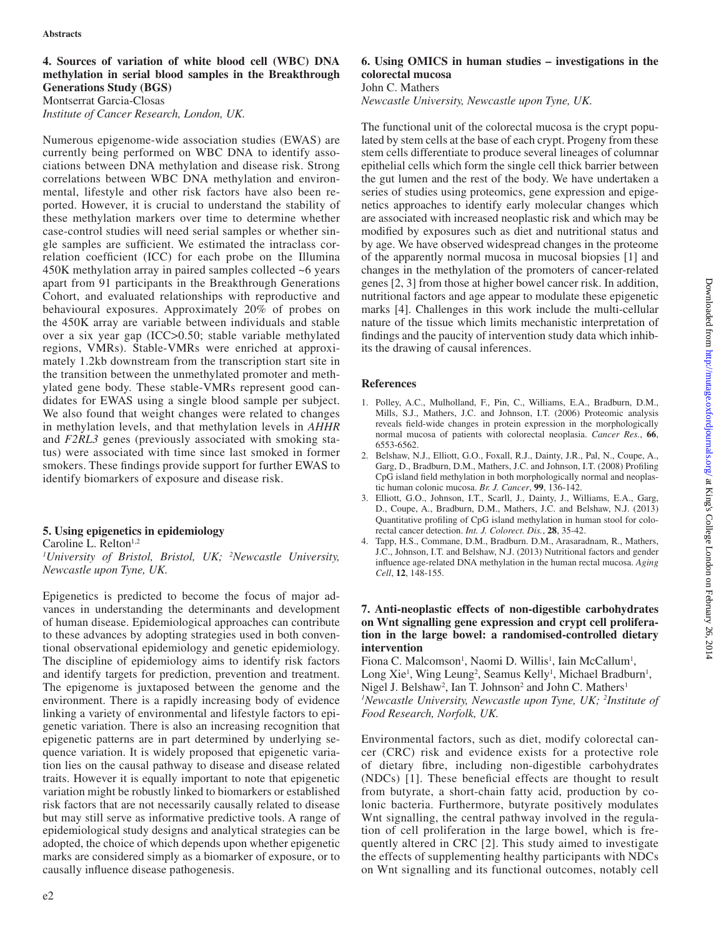### **4. Sources of variation of white blood cell (WBC) DNA methylation in serial blood samples in the Breakthrough Generations Study (BGS)** Montserrat Garcia-Closas

*Institute of Cancer Research, London, UK.*

Numerous epigenome-wide association studies (EWAS) are currently being performed on WBC DNA to identify associations between DNA methylation and disease risk. Strong correlations between WBC DNA methylation and environmental, lifestyle and other risk factors have also been reported. However, it is crucial to understand the stability of these methylation markers over time to determine whether case-control studies will need serial samples or whether single samples are sufficient. We estimated the intraclass correlation coefficient (ICC) for each probe on the Illumina 450K methylation array in paired samples collected ~6 years apart from 91 participants in the Breakthrough Generations Cohort, and evaluated relationships with reproductive and behavioural exposures. Approximately 20% of probes on the 450K array are variable between individuals and stable over a six year gap (ICC>0.50; stable variable methylated regions, VMRs). Stable-VMRs were enriched at approximately 1.2kb downstream from the transcription start site in the transition between the unmethylated promoter and methylated gene body. These stable-VMRs represent good candidates for EWAS using a single blood sample per subject. We also found that weight changes were related to changes in methylation levels, and that methylation levels in *AHHR* and *F2RL3* genes (previously associated with smoking status) were associated with time since last smoked in former smokers. These findings provide support for further EWAS to identify biomarkers of exposure and disease risk.

# **5. Using epigenetics in epidemiology**

Caroline L. Relton<sup>1,2</sup>

*1 University of Bristol, Bristol, UK; 2 Newcastle University, Newcastle upon Tyne, UK.*

Epigenetics is predicted to become the focus of major advances in understanding the determinants and development of human disease. Epidemiological approaches can contribute to these advances by adopting strategies used in both conventional observational epidemiology and genetic epidemiology. The discipline of epidemiology aims to identify risk factors and identify targets for prediction, prevention and treatment. The epigenome is juxtaposed between the genome and the environment. There is a rapidly increasing body of evidence linking a variety of environmental and lifestyle factors to epigenetic variation. There is also an increasing recognition that epigenetic patterns are in part determined by underlying sequence variation. It is widely proposed that epigenetic variation lies on the causal pathway to disease and disease related traits. However it is equally important to note that epigenetic variation might be robustly linked to biomarkers or established risk factors that are not necessarily causally related to disease but may still serve as informative predictive tools. A range of epidemiological study designs and analytical strategies can be adopted, the choice of which depends upon whether epigenetic marks are considered simply as a biomarker of exposure, or to causally influence disease pathogenesis.

### **6. Using OMICS in human studies – investigations in the colorectal mucosa** John C. Mathers

*Newcastle University, Newcastle upon Tyne, UK.*

The functional unit of the colorectal mucosa is the crypt populated by stem cells at the base of each crypt. Progeny from these stem cells differentiate to produce several lineages of columnar epithelial cells which form the single cell thick barrier between the gut lumen and the rest of the body. We have undertaken a series of studies using proteomics, gene expression and epigenetics approaches to identify early molecular changes which are associated with increased neoplastic risk and which may be modified by exposures such as diet and nutritional status and by age. We have observed widespread changes in the proteome of the apparently normal mucosa in mucosal biopsies [1] and changes in the methylation of the promoters of cancer-related genes [2, 3] from those at higher bowel cancer risk. In addition, nutritional factors and age appear to modulate these epigenetic marks [4]. Challenges in this work include the multi-cellular nature of the tissue which limits mechanistic interpretation of findings and the paucity of intervention study data which inhibits the drawing of causal inferences.

# **References**

- 1. Polley, A.C., Mulholland, F., Pin, C., Williams, E.A., Bradburn, D.M., Mills, S.J., Mathers, J.C. and Johnson, I.T. (2006) Proteomic analysis reveals field-wide changes in protein expression in the morphologically normal mucosa of patients with colorectal neoplasia. *Cancer Res.*, **66**, 6553-6562.
- 2. Belshaw, N.J., Elliott, G.O., Foxall, R.J., Dainty, J.R., Pal, N., Coupe, A., Garg, D., Bradburn, D.M., Mathers, J.C. and Johnson, I.T. (2008) Profiling CpG island field methylation in both morphologically normal and neoplastic human colonic mucosa. *Br. J. Cancer*, **99**, 136-142.
- 3. Elliott, G.O., Johnson, I.T., Scarll, J., Dainty, J., Williams, E.A., Garg, D., Coupe, A., Bradburn, D.M., Mathers, J.C. and Belshaw, N.J. (2013) Quantitative profiling of CpG island methylation in human stool for colorectal cancer detection. *Int. J. Colorect. Dis.*, **28**, 35-42.
- 4. Tapp, H.S., Commane, D.M., Bradburn. D.M., Arasaradnam, R., Mathers, J.C., Johnson, I.T. and Belshaw, N.J. (2013) Nutritional factors and gender influence age-related DNA methylation in the human rectal mucosa. *Aging Cell*, **12**, 148-155.

### **7. Anti-neoplastic effects of non-digestible carbohydrates on Wnt signalling gene expression and crypt cell proliferation in the large bowel: a randomised-controlled dietary intervention**

Fiona C. Malcomson<sup>1</sup>, Naomi D. Willis<sup>1</sup>, Iain McCallum<sup>1</sup>, Long Xie<sup>1</sup>, Wing Leung<sup>2</sup>, Seamus Kelly<sup>1</sup>, Michael Bradburn<sup>1</sup>, Nigel J. Belshaw<sup>2</sup>, Ian T. Johnson<sup>2</sup> and John C. Mathers<sup>1</sup> <sup>1</sup>Newcastle University, Newcastle upon Tyne, UK; <sup>2</sup>Institute of *Food Research, Norfolk, UK.*

Environmental factors, such as diet, modify colorectal cancer (CRC) risk and evidence exists for a protective role of dietary fibre, including non-digestible carbohydrates (NDCs) [1]. These beneficial effects are thought to result from butyrate, a short-chain fatty acid, production by colonic bacteria. Furthermore, butyrate positively modulates Wnt signalling, the central pathway involved in the regulation of cell proliferation in the large bowel, which is frequently altered in CRC [2]. This study aimed to investigate the effects of supplementing healthy participants with NDCs on Wnt signalling and its functional outcomes, notably cell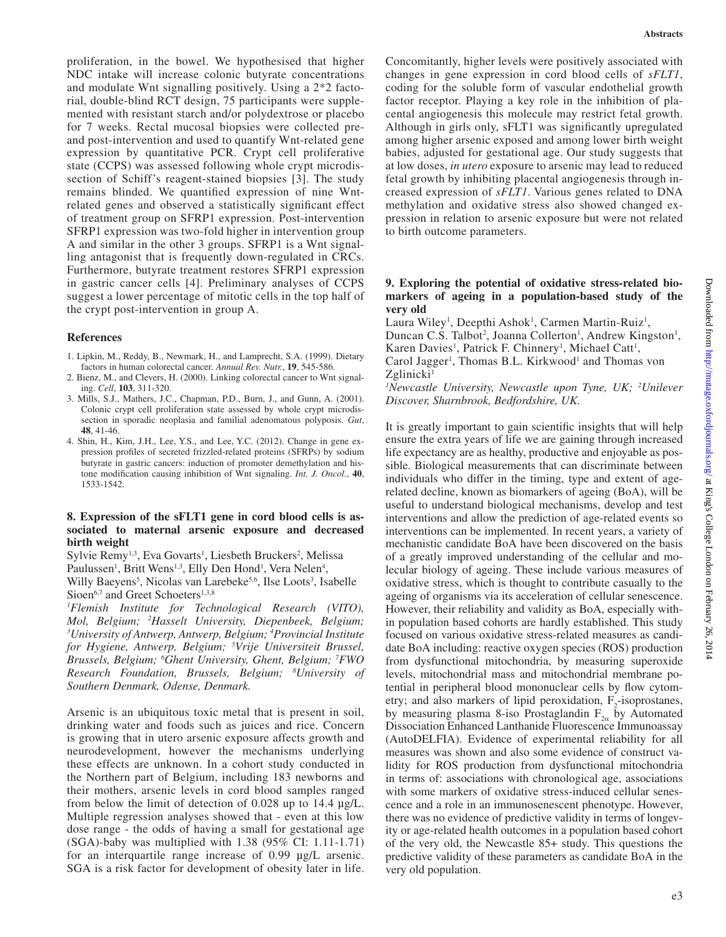proliferation, in the bowel. We hypothesised that higher NDC intake will increase colonic butyrate concentrations and modulate Wnt signalling positively. Using a 2\*2 factorial, double-blind RCT design, 75 participants were supplemented with resistant starch and/or polydextrose or placebo for 7 weeks. Rectal mucosal biopsies were collected preand post-intervention and used to quantify Wnt-related gene expression by quantitative PCR. Crypt cell proliferative state (CCPS) was assessed following whole crypt microdissection of Schiff's reagent-stained biopsies [3]. The study remains blinded. We quantified expression of nine Wntrelated genes and observed a statistically significant effect of treatment group on SFRP1 expression. Post-intervention SFRP1 expression was two-fold higher in intervention group A and similar in the other 3 groups. SFRP1 is a Wnt signalling antagonist that is frequently down-regulated in CRCs. Furthermore, butyrate treatment restores SFRP1 expression in gastric cancer cells [4]. Preliminary analyses of CCPS suggest a lower percentage of mitotic cells in the top half of the crypt post-intervention in group A.

#### **References**

- 1. Lipkin, M., Reddy, B., Newmark, H., and Lamprecht, S.A. (1999). Dietary factors in human colorectal cancer. *Annual Rev. Nutr.*, **19**, 545-586.
- 2. Bienz, M., and Clevers, H. (2000). Linking colorectal cancer to Wnt signaling. *Cell*, **103**, 311-320.
- 3. Mills, S.J., Mathers, J.C., Chapman, P.D., Burn, J., and Gunn, A. (2001). Colonic crypt cell proliferation state assessed by whole crypt microdissection in sporadic neoplasia and familial adenomatous polyposis. *Gut*, **48**, 41-46.
- 4. Shin, H., Kim, J.H., Lee, Y.S., and Lee, Y.C. (2012). Change in gene expression profiles of secreted frizzled-related proteins (SFRPs) by sodium butyrate in gastric cancers: induction of promoter demethylation and histone modification causing inhibition of Wnt signaling. *Int. J. Oncol.*, **40**, 1533-1542.

#### **8. Expression of the sFLT1 gene in cord blood cells is associated to maternal arsenic exposure and decreased birth weight**

Sylvie Remy<sup>1,3</sup>, Eva Govarts<sup>1</sup>, Liesbeth Bruckers<sup>2</sup>, Melissa Paulussen<sup>1</sup>, Britt Wens<sup>1,3</sup>, Elly Den Hond<sup>1</sup>, Vera Nelen<sup>4</sup>,

Willy Baeyens<sup>5</sup>, Nicolas van Larebeke<sup>5,6</sup>, Ilse Loots<sup>3</sup>, Isabelle Sioen<sup>6,7</sup> and Greet Schoeters<sup>1,3,8</sup>

*1 Flemish Institute for Technological Research (VITO), Mol, Belgium; 2 Hasselt University, Diepenbeek, Belgium; 3 University of Antwerp, Antwerp, Belgium; 4 Provincial Institute for Hygiene, Antwerp, Belgium; 5 Vrije Universiteit Brussel, Brussels, Belgium; 6 Ghent University, Ghent, Belgium; 7 FWO Research Foundation, Brussels, Belgium; 8 University of Southern Denmark, Odense, Denmark.*

Arsenic is an ubiquitous toxic metal that is present in soil, drinking water and foods such as juices and rice. Concern is growing that in utero arsenic exposure affects growth and neurodevelopment, however the mechanisms underlying these effects are unknown. In a cohort study conducted in the Northern part of Belgium, including 183 newborns and their mothers, arsenic levels in cord blood samples ranged from below the limit of detection of 0.028 up to 14.4 µg/L. Multiple regression analyses showed that - even at this low dose range - the odds of having a small for gestational age (SGA)-baby was multiplied with 1.38 (95% CI: 1.11-1.71) for an interquartile range increase of 0.99 µg/L arsenic. SGA is a risk factor for development of obesity later in life.

Concomitantly, higher levels were positively associated with changes in gene expression in cord blood cells of *sFLT1*, coding for the soluble form of vascular endothelial growth factor receptor. Playing a key role in the inhibition of placental angiogenesis this molecule may restrict fetal growth. Although in girls only, sFLT1 was significantly upregulated among higher arsenic exposed and among lower birth weight babies, adjusted for gestational age. Our study suggests that at low doses, *in utero* exposure to arsenic may lead to reduced fetal growth by inhibiting placental angiogenesis through increased expression of *sFLT1*. Various genes related to DNA methylation and oxidative stress also showed changed expression in relation to arsenic exposure but were not related to birth outcome parameters.

### **9. Exploring the potential of oxidative stress-related biomarkers of ageing in a population-based study of the very old**

Laura Wiley<sup>1</sup>, Deepthi Ashok<sup>1</sup>, Carmen Martin-Ruiz<sup>1</sup>, Duncan C.S. Talbot<sup>2</sup>, Joanna Collerton<sup>1</sup>, Andrew Kingston<sup>1</sup>, Karen Davies<sup>1</sup>, Patrick F. Chinnery<sup>1</sup>, Michael Catt<sup>1</sup>, Carol Jagger<sup>1</sup>, Thomas B.L. Kirkwood<sup>1</sup> and Thomas von  $Z$ glinicki<sup>1</sup>

<sup>1</sup>Newcastle University, Newcastle upon Tyne, UK; <sup>2</sup>Unilever *Discover, Sharnbrook, Bedfordshire, UK.*

It is greatly important to gain scientific insights that will help ensure the extra years of life we are gaining through increased life expectancy are as healthy, productive and enjoyable as possible. Biological measurements that can discriminate between individuals who differ in the timing, type and extent of agerelated decline, known as biomarkers of ageing (BoA), will be useful to understand biological mechanisms, develop and test interventions and allow the prediction of age-related events so interventions can be implemented. In recent years, a variety of mechanistic candidate BoA have been discovered on the basis of a greatly improved understanding of the cellular and molecular biology of ageing. These include various measures of oxidative stress, which is thought to contribute casually to the ageing of organisms via its acceleration of cellular senescence. However, their reliability and validity as BoA, especially within population based cohorts are hardly established. This study focused on various oxidative stress-related measures as candidate BoA including: reactive oxygen species (ROS) production from dysfunctional mitochondria, by measuring superoxide levels, mitochondrial mass and mitochondrial membrane potential in peripheral blood mononuclear cells by flow cytometry; and also markers of lipid peroxidation,  $F_2$ -isoprostanes, by measuring plasma 8-iso Prostaglandin  $F_{2\alpha}$  by Automated Dissociation Enhanced Lanthanide Fluorescence Immunoassay (AutoDELFIA). Evidence of experimental reliability for all measures was shown and also some evidence of construct validity for ROS production from dysfunctional mitochondria in terms of: associations with chronological age, associations with some markers of oxidative stress-induced cellular senescence and a role in an immunosenescent phenotype. However, there was no evidence of predictive validity in terms of longevity or age-related health outcomes in a population based cohort of the very old, the Newcastle 85+ study. This questions the predictive validity of these parameters as candidate BoA in the very old population.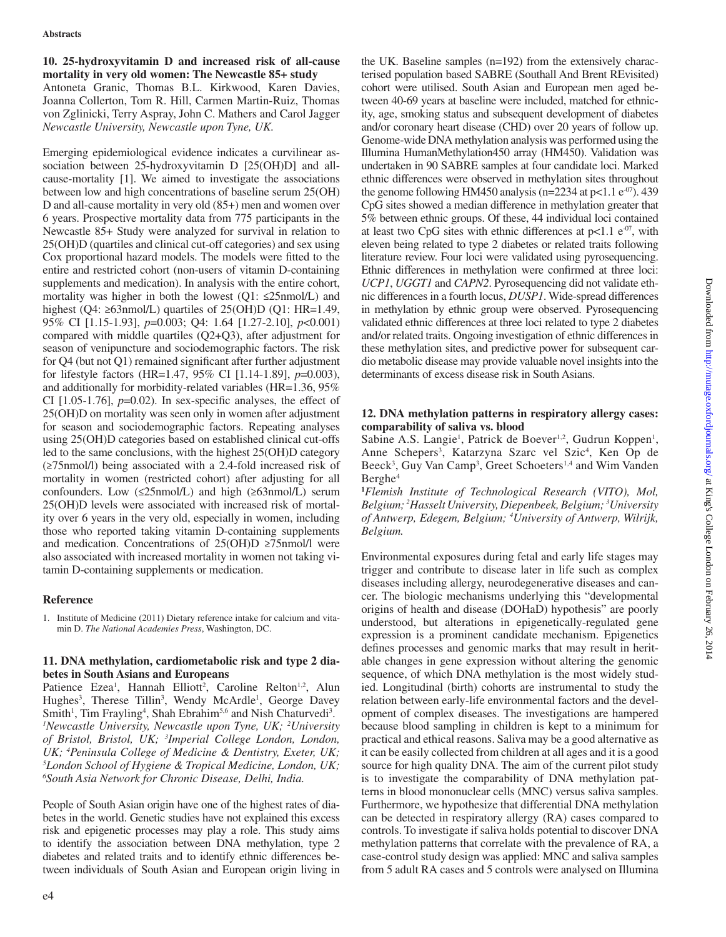**10. 25-hydroxyvitamin D and increased risk of all-cause mortality in very old women: The Newcastle 85+ study** Antoneta Granic, Thomas B.L. Kirkwood, Karen Davies, Joanna Collerton, Tom R. Hill, Carmen Martin-Ruiz, Thomas von Zglinicki, Terry Aspray, John C. Mathers and Carol Jagger *Newcastle University, Newcastle upon Tyne, UK.*

Emerging epidemiological evidence indicates a curvilinear association between 25-hydroxyvitamin D [25(OH)D] and allcause-mortality [1]. We aimed to investigate the associations between low and high concentrations of baseline serum 25(OH) D and all-cause mortality in very old (85+) men and women over 6 years. Prospective mortality data from 775 participants in the Newcastle 85+ Study were analyzed for survival in relation to 25(OH)D (quartiles and clinical cut-off categories) and sex using Cox proportional hazard models. The models were fitted to the entire and restricted cohort (non-users of vitamin D-containing supplements and medication). In analysis with the entire cohort, mortality was higher in both the lowest (Q1: ≤25nmol/L) and highest (Q4:  $\geq 63$ nmol/L) quartiles of 25(OH)D (Q1: HR=1.49, 95% CI [1.15-1.93], *p*=0.003; Q4: 1.64 [1.27-2.10], *p*<0.001) compared with middle quartiles (Q2+Q3), after adjustment for season of venipuncture and sociodemographic factors. The risk for Q4 (but not Q1) remained significant after further adjustment for lifestyle factors (HR=1.47, 95% CI [1.14-1.89], *p*=0.003), and additionally for morbidity-related variables (HR=1.36, 95% CI [1.05-1.76], *p*=0.02). In sex-specific analyses, the effect of 25(OH)D on mortality was seen only in women after adjustment for season and sociodemographic factors. Repeating analyses using 25(OH)D categories based on established clinical cut-offs led to the same conclusions, with the highest 25(OH)D category (≥75nmol/l) being associated with a 2.4-fold increased risk of mortality in women (restricted cohort) after adjusting for all confounders. Low (≤25nmol/L) and high (≥63nmol/L) serum 25(OH)D levels were associated with increased risk of mortality over 6 years in the very old, especially in women, including those who reported taking vitamin D-containing supplements and medication. Concentrations of 25(OH)D ≥75nmol/l were also associated with increased mortality in women not taking vitamin D-containing supplements or medication.

# **Reference**

1. Institute of Medicine (2011) Dietary reference intake for calcium and vitamin D. *The National Academies Press*, Washington, DC.

### **11. DNA methylation, cardiometabolic risk and type 2 diabetes in South Asians and Europeans**

Patience Ezea<sup>1</sup>, Hannah Elliott<sup>2</sup>, Caroline Relton<sup>1,2</sup>, Alun Hughes<sup>3</sup>, Therese Tillin<sup>3</sup>, Wendy McArdle<sup>1</sup>, George Davey Smith<sup>1</sup>, Tim Frayling<sup>4</sup>, Shah Ebrahim<sup>5,6</sup> and Nish Chaturvedi<sup>3</sup>. <sup>1</sup>Newcastle University, Newcastle upon Tyne, UK; <sup>2</sup>University *of Bristol, Bristol, UK; 3 Imperial College London, London,*  UK; <sup>4</sup>Peninsula College of Medicine & Dentistry, Exeter, UK;<br><sup>5</sup>London School of Hygiana & Tropical Medicine, London, UK; *London School of Hygiene & Tropical Medicine, London, UK; 6 South Asia Network for Chronic Disease, Delhi, India.*

People of South Asian origin have one of the highest rates of diabetes in the world. Genetic studies have not explained this excess risk and epigenetic processes may play a role. This study aims to identify the association between DNA methylation, type 2 diabetes and related traits and to identify ethnic differences between individuals of South Asian and European origin living in the UK. Baseline samples (n=192) from the extensively characterised population based SABRE (Southall And Brent REvisited) cohort were utilised. South Asian and European men aged between 40-69 years at baseline were included, matched for ethnicity, age, smoking status and subsequent development of diabetes and/or coronary heart disease (CHD) over 20 years of follow up. Genome-wide DNA methylation analysis was performed using the Illumina HumanMethylation450 array (HM450). Validation was undertaken in 90 SABRE samples at four candidate loci. Marked ethnic differences were observed in methylation sites throughout the genome following HM450 analysis (n=2234 at  $p<1.1$  e<sup>-07</sup>). 439 CpG sites showed a median difference in methylation greater that 5% between ethnic groups. Of these, 44 individual loci contained at least two CpG sites with ethnic differences at  $p<1.1$  e<sup>-07</sup>, with eleven being related to type 2 diabetes or related traits following literature review. Four loci were validated using pyrosequencing. Ethnic differences in methylation were confirmed at three loci: *UCP1*, *UGGT1* and *CAPN2*. Pyrosequencing did not validate ethnic differences in a fourth locus, *DUSP1*. Wide-spread differences in methylation by ethnic group were observed. Pyrosequencing validated ethnic differences at three loci related to type 2 diabetes and/or related traits. Ongoing investigation of ethnic differences in these methylation sites, and predictive power for subsequent cardio metabolic disease may provide valuable novel insights into the determinants of excess disease risk in South Asians.

# **12. DNA methylation patterns in respiratory allergy cases: comparability of saliva vs. blood**

Sabine A.S. Langie<sup>1</sup>, Patrick de Boever<sup>1,2</sup>, Gudrun Koppen<sup>1</sup>, Anne Schepers<sup>3</sup>, Katarzyna Szarc vel Szic<sup>4</sup>, Ken Op de Beeck<sup>3</sup>, Guy Van Camp<sup>3</sup>, Greet Schoeters<sup>1,4</sup> and Wim Vanden Berghe4

**1** *Flemish Institute of Technological Research (VITO), Mol, Belgium; 2 Hasselt University, Diepenbeek, Belgium; 3 University of Antwerp, Edegem, Belgium; 4 University of Antwerp, Wilrijk, Belgium.*

Environmental exposures during fetal and early life stages may trigger and contribute to disease later in life such as complex diseases including allergy, neurodegenerative diseases and cancer. The biologic mechanisms underlying this "developmental origins of health and disease (DOHaD) hypothesis" are poorly understood, but alterations in epigenetically-regulated gene expression is a prominent candidate mechanism. Epigenetics defines processes and genomic marks that may result in heritable changes in gene expression without altering the genomic sequence, of which DNA methylation is the most widely studied. Longitudinal (birth) cohorts are instrumental to study the relation between early-life environmental factors and the development of complex diseases. The investigations are hampered because blood sampling in children is kept to a minimum for practical and ethical reasons. Saliva may be a good alternative as it can be easily collected from children at all ages and it is a good source for high quality DNA. The aim of the current pilot study is to investigate the comparability of DNA methylation patterns in blood mononuclear cells (MNC) versus saliva samples. Furthermore, we hypothesize that differential DNA methylation can be detected in respiratory allergy (RA) cases compared to controls. To investigate if saliva holds potential to discover DNA methylation patterns that correlate with the prevalence of RA, a case-control study design was applied: MNC and saliva samples from 5 adult RA cases and 5 controls were analysed on Illumina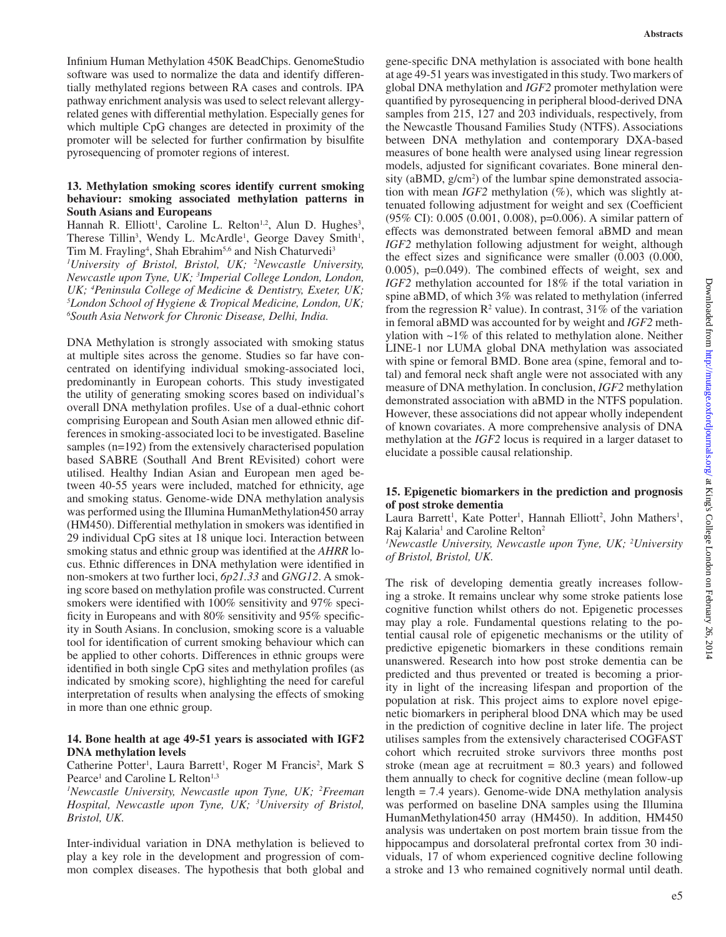Infinium Human Methylation 450K BeadChips. GenomeStudio software was used to normalize the data and identify differentially methylated regions between RA cases and controls. IPA pathway enrichment analysis was used to select relevant allergyrelated genes with differential methylation. Especially genes for which multiple CpG changes are detected in proximity of the promoter will be selected for further confirmation by bisulfite pyrosequencing of promoter regions of interest.

### **13. Methylation smoking scores identify current smoking behaviour: smoking associated methylation patterns in South Asians and Europeans**

Hannah R. Elliott<sup>1</sup>, Caroline L. Relton<sup>1,2</sup>, Alun D. Hughes<sup>3</sup>, Therese Tillin<sup>3</sup>, Wendy L. McArdle<sup>1</sup>, George Davey Smith<sup>1</sup>, Tim M. Frayling<sup>4</sup>, Shah Ebrahim<sup>5,6</sup> and Nish Chaturvedi<sup>3</sup> *1 University of Bristol, Bristol, UK; 2 Newcastle University, Newcastle upon Tyne, UK; 3 Imperial College London, London,*  UK; <sup>4</sup>Peninsula College of Medicine & Dentistry, Exeter, UK;<br><sup>5</sup>London School of Hygiane & Tropical Medicine, London, UK;

*London School of Hygiene & Tropical Medicine, London, UK; 6 South Asia Network for Chronic Disease, Delhi, India.*

DNA Methylation is strongly associated with smoking status at multiple sites across the genome. Studies so far have concentrated on identifying individual smoking-associated loci, predominantly in European cohorts. This study investigated the utility of generating smoking scores based on individual's overall DNA methylation profiles. Use of a dual-ethnic cohort comprising European and South Asian men allowed ethnic differences in smoking-associated loci to be investigated. Baseline samples (n=192) from the extensively characterised population based SABRE (Southall And Brent REvisited) cohort were utilised. Healthy Indian Asian and European men aged between 40-55 years were included, matched for ethnicity, age and smoking status. Genome-wide DNA methylation analysis was performed using the Illumina HumanMethylation450 array (HM450). Differential methylation in smokers was identified in 29 individual CpG sites at 18 unique loci. Interaction between smoking status and ethnic group was identified at the *AHRR* locus. Ethnic differences in DNA methylation were identified in non-smokers at two further loci, *6p21.33* and *GNG12*. A smoking score based on methylation profile was constructed. Current smokers were identified with 100% sensitivity and 97% specificity in Europeans and with 80% sensitivity and 95% specificity in South Asians. In conclusion, smoking score is a valuable tool for identification of current smoking behaviour which can be applied to other cohorts. Differences in ethnic groups were identified in both single CpG sites and methylation profiles (as indicated by smoking score), highlighting the need for careful interpretation of results when analysing the effects of smoking in more than one ethnic group.

#### **14. Bone health at age 49-51 years is associated with IGF2 DNA methylation levels**

Catherine Potter<sup>1</sup>, Laura Barrett<sup>1</sup>, Roger M Francis<sup>2</sup>, Mark S Pearce<sup>1</sup> and Caroline L Relton<sup>1,3</sup>

<sup>1</sup>Newcastle University, Newcastle upon Tyne, UK; <sup>2</sup>Freeman *Hospital, Newcastle upon Tyne, UK; 3 University of Bristol, Bristol, UK.*

Inter-individual variation in DNA methylation is believed to play a key role in the development and progression of common complex diseases. The hypothesis that both global and gene-specific DNA methylation is associated with bone health at age 49-51 years was investigated in this study. Two markers of global DNA methylation and *IGF2* promoter methylation were quantified by pyrosequencing in peripheral blood-derived DNA samples from 215, 127 and 203 individuals, respectively, from the Newcastle Thousand Families Study (NTFS). Associations between DNA methylation and contemporary DXA-based measures of bone health were analysed using linear regression models, adjusted for significant covariates. Bone mineral density (aBMD, g/cm<sup>2</sup>) of the lumbar spine demonstrated association with mean *IGF2* methylation (%), which was slightly attenuated following adjustment for weight and sex (Coefficient (95% CI): 0.005 (0.001, 0.008), p=0.006). A similar pattern of effects was demonstrated between femoral aBMD and mean *IGF2* methylation following adjustment for weight, although the effect sizes and significance were smaller (0.003 (0.000, 0.005), p=0.049). The combined effects of weight, sex and *IGF2* methylation accounted for 18% if the total variation in spine aBMD, of which 3% was related to methylation (inferred from the regression  $\mathbb{R}^2$  value). In contrast, 31% of the variation in femoral aBMD was accounted for by weight and *IGF2* methylation with ~1% of this related to methylation alone. Neither LINE-1 nor LUMA global DNA methylation was associated with spine or femoral BMD. Bone area (spine, femoral and total) and femoral neck shaft angle were not associated with any measure of DNA methylation. In conclusion, *IGF2* methylation demonstrated association with aBMD in the NTFS population. However, these associations did not appear wholly independent of known covariates. A more comprehensive analysis of DNA methylation at the *IGF2* locus is required in a larger dataset to elucidate a possible causal relationship.

### **15. Epigenetic biomarkers in the prediction and prognosis of post stroke dementia**

Laura Barrett<sup>1</sup>, Kate Potter<sup>1</sup>, Hannah Elliott<sup>2</sup>, John Mathers<sup>1</sup>, Raj Kalaria<sup>1</sup> and Caroline Relton<sup>2</sup>

<sup>1</sup>Newcastle University, Newcastle upon Tyne, UK; <sup>2</sup>University *of Bristol, Bristol, UK.*

The risk of developing dementia greatly increases following a stroke. It remains unclear why some stroke patients lose cognitive function whilst others do not. Epigenetic processes may play a role. Fundamental questions relating to the potential causal role of epigenetic mechanisms or the utility of predictive epigenetic biomarkers in these conditions remain unanswered. Research into how post stroke dementia can be predicted and thus prevented or treated is becoming a priority in light of the increasing lifespan and proportion of the population at risk. This project aims to explore novel epigenetic biomarkers in peripheral blood DNA which may be used in the prediction of cognitive decline in later life. The project utilises samples from the extensively characterised COGFAST cohort which recruited stroke survivors three months post stroke (mean age at recruitment  $= 80.3$  years) and followed them annually to check for cognitive decline (mean follow-up length = 7.4 years). Genome-wide DNA methylation analysis was performed on baseline DNA samples using the Illumina HumanMethylation450 array (HM450). In addition, HM450 analysis was undertaken on post mortem brain tissue from the hippocampus and dorsolateral prefrontal cortex from 30 individuals, 17 of whom experienced cognitive decline following a stroke and 13 who remained cognitively normal until death.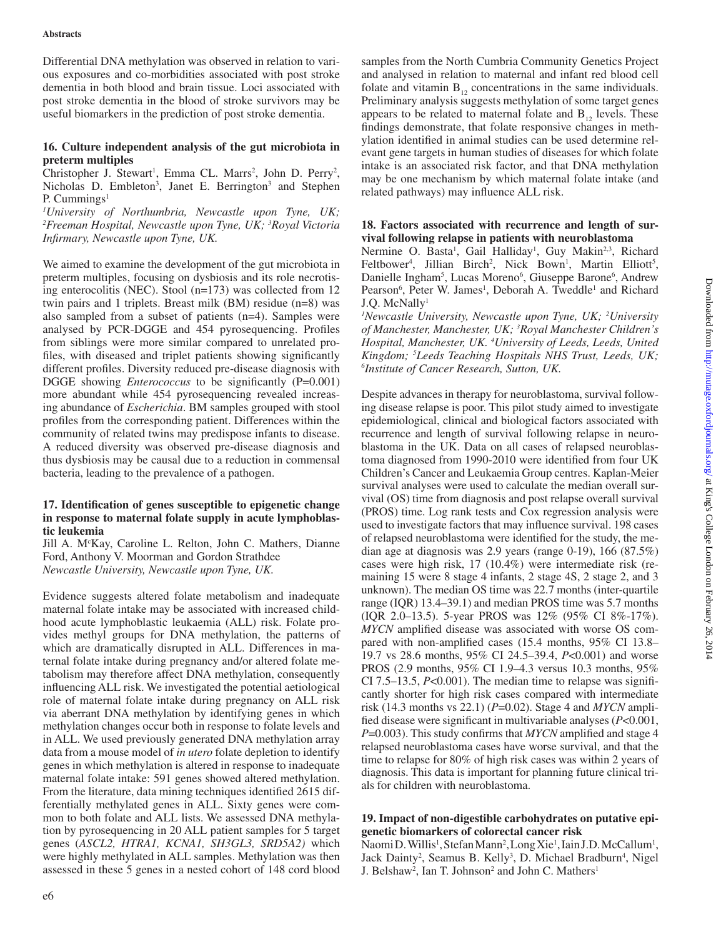Differential DNA methylation was observed in relation to various exposures and co-morbidities associated with post stroke dementia in both blood and brain tissue. Loci associated with post stroke dementia in the blood of stroke survivors may be useful biomarkers in the prediction of post stroke dementia.

# **16. Culture independent analysis of the gut microbiota in preterm multiples**

Christopher J. Stewart<sup>1</sup>, Emma CL. Marrs<sup>2</sup>, John D. Perry<sup>2</sup>, Nicholas D. Embleton<sup>3</sup>, Janet E. Berrington<sup>3</sup> and Stephen P. Cummings<sup>1</sup>

*1 University of Northumbria, Newcastle upon Tyne, UK; 2 Freeman Hospital, Newcastle upon Tyne, UK; 3 Royal Victoria Infirmary, Newcastle upon Tyne, UK.*

We aimed to examine the development of the gut microbiota in preterm multiples, focusing on dysbiosis and its role necrotising enterocolitis (NEC). Stool (n=173) was collected from 12 twin pairs and 1 triplets. Breast milk (BM) residue (n=8) was also sampled from a subset of patients (n=4). Samples were analysed by PCR-DGGE and 454 pyrosequencing. Profiles from siblings were more similar compared to unrelated profiles, with diseased and triplet patients showing significantly different profiles. Diversity reduced pre-disease diagnosis with DGGE showing *Enterococcus* to be significantly (P=0.001) more abundant while 454 pyrosequencing revealed increasing abundance of *Escherichia*. BM samples grouped with stool profiles from the corresponding patient. Differences within the community of related twins may predispose infants to disease. A reduced diversity was observed pre-disease diagnosis and thus dysbiosis may be causal due to a reduction in commensal bacteria, leading to the prevalence of a pathogen.

### **17. Identification of genes susceptible to epigenetic change in response to maternal folate supply in acute lymphoblastic leukemia**

Jill A. M<sup>c</sup>Kay, Caroline L. Relton, John C. Mathers, Dianne Ford, Anthony V. Moorman and Gordon Strathdee *Newcastle University, Newcastle upon Tyne, UK.*

Evidence suggests altered folate metabolism and inadequate maternal folate intake may be associated with increased childhood acute lymphoblastic leukaemia (ALL) risk. Folate provides methyl groups for DNA methylation, the patterns of which are dramatically disrupted in ALL. Differences in maternal folate intake during pregnancy and/or altered folate metabolism may therefore affect DNA methylation, consequently influencing ALL risk. We investigated the potential aetiological role of maternal folate intake during pregnancy on ALL risk via aberrant DNA methylation by identifying genes in which methylation changes occur both in response to folate levels and in ALL. We used previously generated DNA methylation array data from a mouse model of *in utero* folate depletion to identify genes in which methylation is altered in response to inadequate maternal folate intake: 591 genes showed altered methylation. From the literature, data mining techniques identified 2615 differentially methylated genes in ALL. Sixty genes were common to both folate and ALL lists. We assessed DNA methylation by pyrosequencing in 20 ALL patient samples for 5 target genes (*ASCL2, HTRA1, KCNA1, SH3GL3, SRD5A2)* which were highly methylated in ALL samples. Methylation was then assessed in these 5 genes in a nested cohort of 148 cord blood samples from the North Cumbria Community Genetics Project and analysed in relation to maternal and infant red blood cell folate and vitamin  $B_{12}$  concentrations in the same individuals. Preliminary analysis suggests methylation of some target genes appears to be related to maternal folate and  $B_{12}$  levels. These findings demonstrate, that folate responsive changes in methylation identified in animal studies can be used determine relevant gene targets in human studies of diseases for which folate intake is an associated risk factor, and that DNA methylation may be one mechanism by which maternal folate intake (and related pathways) may influence ALL risk.

# **18. Factors associated with recurrence and length of survival following relapse in patients with neuroblastoma**

Nermine O. Basta<sup>1</sup>, Gail Halliday<sup>1</sup>, Guy Makin<sup>2,3</sup>, Richard Feltbower<sup>4</sup>, Jillian Birch<sup>2</sup>, Nick Bown<sup>1</sup>, Martin Elliott<sup>5</sup>, Danielle Ingham<sup>5</sup>, Lucas Moreno<sup>6</sup>, Giuseppe Barone<sup>6</sup>, Andrew Pearson<sup>6</sup>, Peter W. James<sup>1</sup>, Deborah A. Tweddle<sup>1</sup> and Richard J.Q. McNally<sup>1</sup>

<sup>1</sup>Newcastle University, Newcastle upon Tyne, UK; <sup>2</sup>University *of Manchester, Manchester, UK; 3 Royal Manchester Children's Hospital, Manchester, UK. 4 University of Leeds, Leeds, United Kingdom; 5 Leeds Teaching Hospitals NHS Trust, Leeds, UK; 6 Institute of Cancer Research, Sutton, UK.*

Despite advances in therapy for neuroblastoma, survival following disease relapse is poor. This pilot study aimed to investigate epidemiological, clinical and biological factors associated with recurrence and length of survival following relapse in neuroblastoma in the UK. Data on all cases of relapsed neuroblastoma diagnosed from 1990-2010 were identified from four UK Children's Cancer and Leukaemia Group centres. Kaplan-Meier survival analyses were used to calculate the median overall survival (OS) time from diagnosis and post relapse overall survival (PROS) time. Log rank tests and Cox regression analysis were used to investigate factors that may influence survival. 198 cases of relapsed neuroblastoma were identified for the study, the median age at diagnosis was  $2.9$  years (range 0-19), 166  $(87.5%)$ cases were high risk, 17 (10.4%) were intermediate risk (remaining 15 were 8 stage 4 infants, 2 stage 4S, 2 stage 2, and 3 unknown). The median OS time was 22.7 months (inter-quartile range (IQR) 13.4–39.1) and median PROS time was 5.7 months (IQR 2.0–13.5). 5-year PROS was 12% (95% CI 8%-17%). *MYCN* amplified disease was associated with worse OS compared with non-amplified cases (15.4 months, 95% CI 13.8– 19.7 vs 28.6 months, 95% CI 24.5–39.4, *P*<0.001) and worse PROS (2.9 months, 95% CI 1.9–4.3 versus 10.3 months, 95% CI 7.5–13.5, *P*<0.001). The median time to relapse was significantly shorter for high risk cases compared with intermediate risk (14.3 months vs 22.1) (*P*=0.02). Stage 4 and *MYCN* amplified disease were significant in multivariable analyses (*P*<0.001, *P*=0.003). This study confirms that *MYCN* amplified and stage 4 relapsed neuroblastoma cases have worse survival, and that the time to relapse for 80% of high risk cases was within 2 years of diagnosis. This data is important for planning future clinical trials for children with neuroblastoma.

# **19. Impact of non-digestible carbohydrates on putative epigenetic biomarkers of colorectal cancer risk**

Naomi D. Willis<sup>1</sup>, Stefan Mann<sup>2</sup>, Long Xie<sup>1</sup>, Iain J.D. McCallum<sup>1</sup>, Jack Dainty<sup>2</sup>, Seamus B. Kelly<sup>3</sup>, D. Michael Bradburn<sup>4</sup>, Nigel J. Belshaw<sup>2</sup>, Ian T. Johnson<sup>2</sup> and John C. Mathers<sup>1</sup>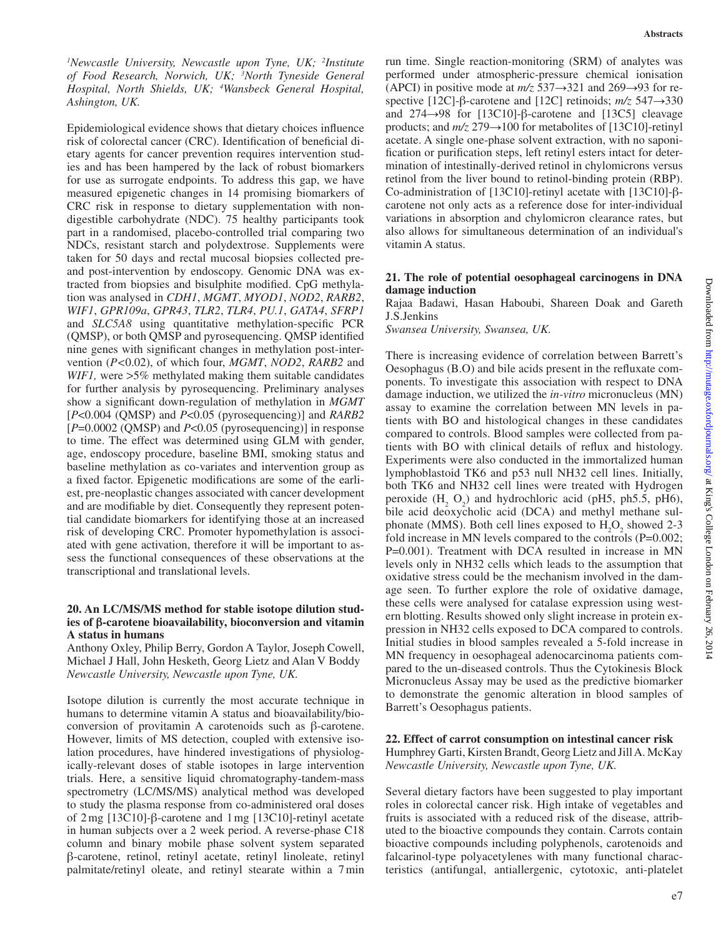Epidemiological evidence shows that dietary choices influence risk of colorectal cancer (CRC). Identification of beneficial dietary agents for cancer prevention requires intervention studies and has been hampered by the lack of robust biomarkers for use as surrogate endpoints. To address this gap, we have measured epigenetic changes in 14 promising biomarkers of CRC risk in response to dietary supplementation with nondigestible carbohydrate (NDC). 75 healthy participants took part in a randomised, placebo-controlled trial comparing two NDCs, resistant starch and polydextrose. Supplements were taken for 50 days and rectal mucosal biopsies collected preand post-intervention by endoscopy. Genomic DNA was extracted from biopsies and bisulphite modified. CpG methylation was analysed in *CDH1*, *MGMT*, *MYOD1*, *NOD2*, *RARB2*, *WIF1*, *GPR109a*, *GPR43*, *TLR2*, *TLR4*, *PU.1*, *GATA4*, *SFRP1* and *SLC5A8* using quantitative methylation-specific PCR (QMSP), or both QMSP and pyrosequencing. QMSP identified nine genes with significant changes in methylation post-intervention (*P<*0.02), of which four, *MGMT*, *NOD2*, *RARB2* and *WIF1*, were >5% methylated making them suitable candidates for further analysis by pyrosequencing. Preliminary analyses show a significant down-regulation of methylation in *MGMT* [*P*<0.004 (QMSP) and *P*<0.05 (pyrosequencing)] and *RARB2* [*P*=0.0002 (QMSP) and *P*<0.05 (pyrosequencing)] in response to time. The effect was determined using GLM with gender, age, endoscopy procedure, baseline BMI, smoking status and baseline methylation as co-variates and intervention group as a fixed factor. Epigenetic modifications are some of the earliest, pre-neoplastic changes associated with cancer development and are modifiable by diet. Consequently they represent potential candidate biomarkers for identifying those at an increased risk of developing CRC. Promoter hypomethylation is associated with gene activation, therefore it will be important to assess the functional consequences of these observations at the transcriptional and translational levels.

### **20. An LC/MS/MS method for stable isotope dilution studies of β-carotene bioavailability, bioconversion and vitamin A status in humans**

Anthony Oxley, Philip Berry, Gordon A Taylor, Joseph Cowell, Michael J Hall, John Hesketh, Georg Lietz and Alan V Boddy *Newcastle University, Newcastle upon Tyne, UK.*

Isotope dilution is currently the most accurate technique in humans to determine vitamin A status and bioavailability/bioconversion of provitamin A carotenoids such as β-carotene. However, limits of MS detection, coupled with extensive isolation procedures, have hindered investigations of physiologically-relevant doses of stable isotopes in large intervention trials. Here, a sensitive liquid chromatography-tandem-mass spectrometry (LC/MS/MS) analytical method was developed to study the plasma response from co-administered oral doses of 2mg [13C10]-β-carotene and 1mg [13C10]-retinyl acetate in human subjects over a 2 week period. A reverse-phase C18 column and binary mobile phase solvent system separated β-carotene, retinol, retinyl acetate, retinyl linoleate, retinyl palmitate/retinyl oleate, and retinyl stearate within a 7min

run time. Single reaction-monitoring (SRM) of analytes was performed under atmospheric-pressure chemical ionisation (APCI) in positive mode at  $m/z$  537 $\rightarrow$ 321 and 269 $\rightarrow$ 93 for respective [12C]-β-carotene and [12C] retinoids; *m/z* 547→330 and 274→98 for [13C10]-β-carotene and [13C5] cleavage products; and *m/z* 279→100 for metabolites of [13C10]-retinyl acetate. A single one-phase solvent extraction, with no saponification or purification steps, left retinyl esters intact for determination of intestinally-derived retinol in chylomicrons versus retinol from the liver bound to retinol-binding protein (RBP). Co-administration of [13C10]-retinyl acetate with [13C10]-βcarotene not only acts as a reference dose for inter-individual variations in absorption and chylomicron clearance rates, but also allows for simultaneous determination of an individual's vitamin A status.

### **21. The role of potential oesophageal carcinogens in DNA damage induction**

Rajaa Badawi, Hasan Haboubi, Shareen Doak and Gareth J.S.Jenkins

*Swansea University, Swansea, UK.*

There is increasing evidence of correlation between Barrett's Oesophagus (B.O) and bile acids present in the refluxate components. To investigate this association with respect to DNA damage induction, we utilized the *in-vitro* micronucleus (MN) assay to examine the correlation between MN levels in patients with BO and histological changes in these candidates compared to controls. Blood samples were collected from patients with BO with clinical details of reflux and histology. Experiments were also conducted in the immortalized human lymphoblastoid TK6 and p53 null NH32 cell lines. Initially, both TK6 and NH32 cell lines were treated with Hydrogen peroxide  $(H_2 O_2)$  and hydrochloric acid (pH5, ph5.5, pH6), bile acid deoxycholic acid (DCA) and methyl methane sulphonate (MMS). Both cell lines exposed to  $H_2O_2$  showed 2-3 fold increase in MN levels compared to the controls  $(P=0.002)$ ; P=0.001). Treatment with DCA resulted in increase in MN levels only in NH32 cells which leads to the assumption that oxidative stress could be the mechanism involved in the damage seen. To further explore the role of oxidative damage, these cells were analysed for catalase expression using western blotting. Results showed only slight increase in protein expression in NH32 cells exposed to DCA compared to controls. Initial studies in blood samples revealed a 5-fold increase in MN frequency in oesophageal adenocarcinoma patients compared to the un-diseased controls. Thus the Cytokinesis Block Micronucleus Assay may be used as the predictive biomarker to demonstrate the genomic alteration in blood samples of Barrett's Oesophagus patients.

### **22. Effect of carrot consumption on intestinal cancer risk** Humphrey Garti, Kirsten Brandt, Georg Lietz and Jill A. McKay *Newcastle University, Newcastle upon Tyne, UK.*

Several dietary factors have been suggested to play important roles in colorectal cancer risk. High intake of vegetables and fruits is associated with a reduced risk of the disease, attributed to the bioactive compounds they contain. Carrots contain bioactive compounds including polyphenols, carotenoids and falcarinol-type polyacetylenes with many functional characteristics (antifungal, antiallergenic, cytotoxic, anti-platelet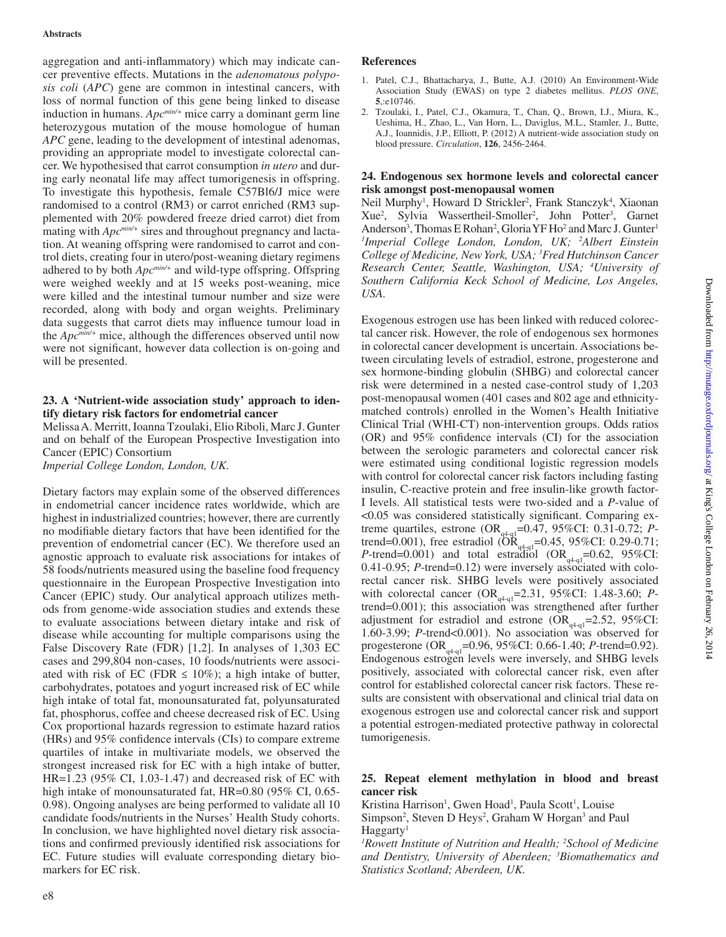#### **Abstracts**

aggregation and anti-inflammatory) which may indicate cancer preventive effects. Mutations in the *adenomatous polyposis coli* (*APC*) gene are common in intestinal cancers, with loss of normal function of this gene being linked to disease induction in humans. *Apcmin/+* mice carry a dominant germ line heterozygous mutation of the mouse homologue of human *APC* gene, leading to the development of intestinal adenomas, providing an appropriate model to investigate colorectal cancer. We hypothesised that carrot consumption *in utero* and during early neonatal life may affect tumorigenesis in offspring. To investigate this hypothesis, female C57Bl6/J mice were randomised to a control (RM3) or carrot enriched (RM3 supplemented with 20% powdered freeze dried carrot) diet from mating with *Apcmin/+* sires and throughout pregnancy and lactation. At weaning offspring were randomised to carrot and control diets, creating four in utero/post-weaning dietary regimens adhered to by both *Apcmin/+* and wild-type offspring. Offspring were weighed weekly and at 15 weeks post-weaning, mice were killed and the intestinal tumour number and size were recorded, along with body and organ weights. Preliminary data suggests that carrot diets may influence tumour load in the *Apcmin/+* mice, although the differences observed until now were not significant, however data collection is on-going and will be presented.

### **23. A 'Nutrient-wide association study' approach to identify dietary risk factors for endometrial cancer**

Melissa A. Merritt, Ioanna Tzoulaki, Elio Riboli, Marc J. Gunter and on behalf of the European Prospective Investigation into Cancer (EPIC) Consortium

*Imperial College London, London, UK.*

Dietary factors may explain some of the observed differences in endometrial cancer incidence rates worldwide, which are highest in industrialized countries; however, there are currently no modifiable dietary factors that have been identified for the prevention of endometrial cancer (EC). We therefore used an agnostic approach to evaluate risk associations for intakes of 58 foods/nutrients measured using the baseline food frequency questionnaire in the European Prospective Investigation into Cancer (EPIC) study. Our analytical approach utilizes methods from genome-wide association studies and extends these to evaluate associations between dietary intake and risk of disease while accounting for multiple comparisons using the False Discovery Rate (FDR) [1,2]. In analyses of 1,303 EC cases and 299,804 non-cases, 10 foods/nutrients were associated with risk of EC (FDR  $\leq 10\%$ ); a high intake of butter, carbohydrates, potatoes and yogurt increased risk of EC while high intake of total fat, monounsaturated fat, polyunsaturated fat, phosphorus, coffee and cheese decreased risk of EC. Using Cox proportional hazards regression to estimate hazard ratios (HRs) and 95% confidence intervals (CIs) to compare extreme quartiles of intake in multivariate models, we observed the strongest increased risk for EC with a high intake of butter, HR=1.23 (95% CI, 1.03-1.47) and decreased risk of EC with high intake of monounsaturated fat, HR=0.80 (95% CI, 0.65-0.98). Ongoing analyses are being performed to validate all 10 candidate foods/nutrients in the Nurses' Health Study cohorts. In conclusion, we have highlighted novel dietary risk associations and confirmed previously identified risk associations for EC. Future studies will evaluate corresponding dietary biomarkers for EC risk.

### **References**

- 1. Patel, C.J., Bhattacharya, J., Butte, A.J. (2010) An Environment-Wide Association Study (EWAS) on type 2 diabetes mellitus. *PLOS ONE*, **5**,:e10746.
- 2. Tzoulaki, I., Patel, C.J., Okamura, T., Chan, Q., Brown, I.J., Miura, K., Ueshima, H., Zhao, L., Van Horn, L., Daviglus, M.L., Stamler, J., Butte, A.J., Ioannidis, J.P., Elliott, P. (2012) A nutrient-wide association study on blood pressure. *Circulation*, **126**, 2456-2464.

### **24. Endogenous sex hormone levels and colorectal cancer risk amongst post-menopausal women**

Neil Murphy<sup>1</sup>, Howard D Strickler<sup>2</sup>, Frank Stanczyk<sup>4</sup>, Xiaonan Xue<sup>2</sup>, Sylvia Wassertheil-Smoller<sup>2</sup>, John Potter<sup>3</sup>, Garnet Anderson<sup>3</sup>, Thomas E Rohan<sup>2</sup>, Gloria YF Ho<sup>2</sup> and Marc J. Gunter<sup>1</sup> *1 Imperial College London, London, UK; 2 Albert Einstein College of Medicine, New York, USA; 3 Fred Hutchinson Cancer Research Center, Seattle, Washington, USA; 4 University of Southern California Keck School of Medicine, Los Angeles, USA.*

Exogenous estrogen use has been linked with reduced colorectal cancer risk. However, the role of endogenous sex hormones in colorectal cancer development is uncertain. Associations between circulating levels of estradiol, estrone, progesterone and sex hormone-binding globulin (SHBG) and colorectal cancer risk were determined in a nested case-control study of 1,203 post-menopausal women (401 cases and 802 age and ethnicitymatched controls) enrolled in the Women's Health Initiative Clinical Trial (WHI-CT) non-intervention groups. Odds ratios (OR) and 95% confidence intervals (CI) for the association between the serologic parameters and colorectal cancer risk were estimated using conditional logistic regression models with control for colorectal cancer risk factors including fasting insulin, C-reactive protein and free insulin-like growth factor-I levels. All statistical tests were two-sided and a *P*-value of <0.05 was considered statistically significant. Comparing extreme quartiles, estrone (ORq4-q1=0.47, 95%CI: 0.31-0.72; *P*trend=0.001), free estradiol ( $\overrightarrow{OR}_{q+q1}$ =0.45, 95%CI: 0.29-0.71; *P*-trend=0.001) and total estradiol (OR<sub>q4-q1</sub>=0.62, 95%CI: 0.41-0.95; *P*-trend=0.12) were inversely associated with colorectal cancer risk. SHBG levels were positively associated with colorectal cancer (OR<sub>q4-q1</sub>=2.31, 95%CI: 1.48-3.60; *P*trend=0.001); this association was strengthened after further adjustment for estradiol and estrone ( $OR_{q+q}=2.52$ , 95%CI: 1.60-3.99; *P*-trend<0.001). No association was observed for progesterone (ORq4-q1=0.96, 95%CI: 0.66-1.40; *P*-trend=0.92). Endogenous estrogen levels were inversely, and SHBG levels positively, associated with colorectal cancer risk, even after control for established colorectal cancer risk factors. These results are consistent with observational and clinical trial data on exogenous estrogen use and colorectal cancer risk and support a potential estrogen-mediated protective pathway in colorectal tumorigenesis.

### **25. Repeat element methylation in blood and breast cancer risk**

Kristina Harrison<sup>1</sup>, Gwen Hoad<sup>1</sup>, Paula Scott<sup>1</sup>, Louise Simpson<sup>2</sup>, Steven D Heys<sup>2</sup>, Graham W Horgan<sup>3</sup> and Paul Haggarty

<sup>1</sup> Rowett Institute of Nutrition and Health; <sup>2</sup> School of Medicine *and Dentistry, University of Aberdeen; 3 Biomathematics and Statistics Scotland; Aberdeen, UK.*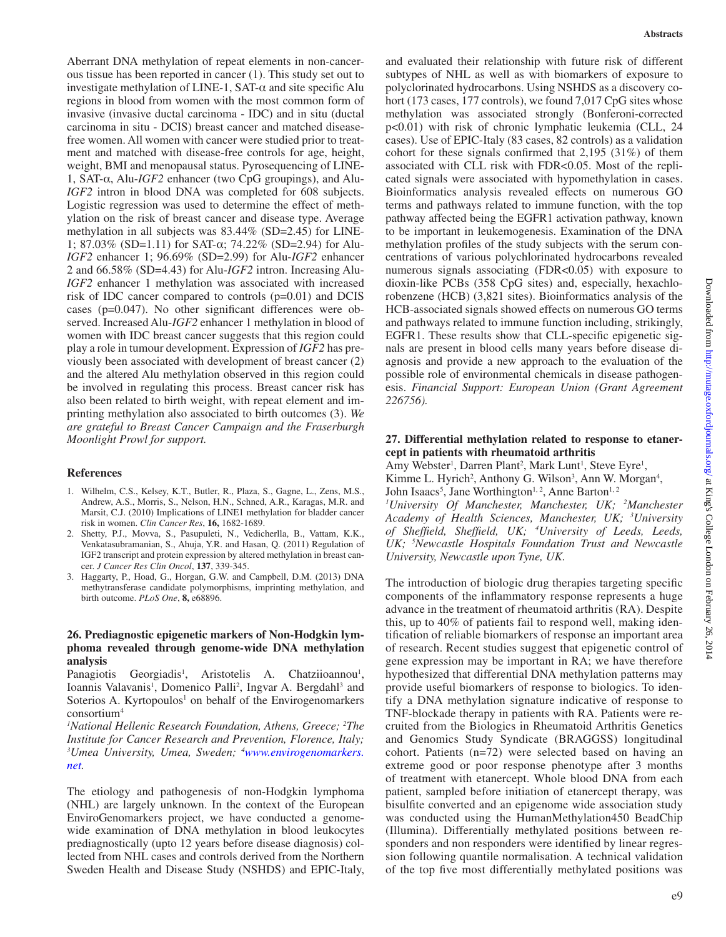Aberrant DNA methylation of repeat elements in non-cancerous tissue has been reported in cancer (1). This study set out to investigate methylation of LINE-1, SAT- $\alpha$  and site specific Alu regions in blood from women with the most common form of invasive (invasive ductal carcinoma - IDC) and in situ (ductal carcinoma in situ - DCIS) breast cancer and matched diseasefree women. All women with cancer were studied prior to treatment and matched with disease-free controls for age, height, weight, BMI and menopausal status. Pyrosequencing of LINE-1, SAT-α, Alu-*IGF2* enhancer (two CpG groupings), and Alu-*IGF2* intron in blood DNA was completed for 608 subjects. Logistic regression was used to determine the effect of methylation on the risk of breast cancer and disease type. Average methylation in all subjects was 83.44% (SD=2.45) for LINE-1; 87.03% (SD=1.11) for SAT-α; 74.22% (SD=2.94) for Alu-*IGF2* enhancer 1; 96.69% (SD=2.99) for Alu-*IGF2* enhancer 2 and 66.58% (SD=4.43) for Alu-*IGF2* intron. Increasing Alu-*IGF2* enhancer 1 methylation was associated with increased risk of IDC cancer compared to controls (p=0.01) and DCIS cases (p=0.047). No other significant differences were observed. Increased Alu-*IGF2* enhancer 1 methylation in blood of women with IDC breast cancer suggests that this region could play a role in tumour development. Expression of *IGF2* has previously been associated with development of breast cancer (2) and the altered Alu methylation observed in this region could be involved in regulating this process. Breast cancer risk has also been related to birth weight, with repeat element and imprinting methylation also associated to birth outcomes (3). *We are grateful to Breast Cancer Campaign and the Fraserburgh Moonlight Prowl for support.*

#### **References**

- 1. Wilhelm, C.S., Kelsey, K.T., Butler, R., Plaza, S., Gagne, L., Zens, M.S., Andrew, A.S., Morris, S., Nelson, H.N., Schned, A.R., Karagas, M.R. and Marsit, C.J. (2010) Implications of LINE1 methylation for bladder cancer risk in women. *Clin Cancer Res*, **16,** 1682-1689.
- 2. Shetty, P.J., Movva, S., Pasupuleti, N., Vedicherlla, B., Vattam, K.K., Venkatasubramanian, S., Ahuja, Y.R. and Hasan, Q. (2011) Regulation of IGF2 transcript and protein expression by altered methylation in breast cancer. *J Cancer Res Clin Oncol*, **137**, 339-345.
- 3. Haggarty, P., Hoad, G., Horgan, G.W. and Campbell, D.M. (2013) DNA methytransferase candidate polymorphisms, imprinting methylation, and birth outcome. *PLoS One*, **8,** e68896.

### **26. Prediagnostic epigenetic markers of Non-Hodgkin lymphoma revealed through genome-wide DNA methylation analysis**

Panagiotis Georgiadis<sup>1</sup>, Aristotelis A. Chatziioannou<sup>1</sup>, Ioannis Valavanis<sup>1</sup>, Domenico Palli<sup>2</sup>, Ingvar A. Bergdahl<sup>3</sup> and Soterios A. Kyrtopoulos<sup>1</sup> on behalf of the Envirogenomarkers consortium4

<sup>1</sup>National Hellenic Research Foundation, Athens, Greece; <sup>2</sup>The *Institute for Cancer Research and Prevention, Florence, Italy; 3 Umea University, Umea, Sweden; 4 [www.envirogenomarkers.](http://www.envirogenomarkers.net) [net.](http://www.envirogenomarkers.net)*

The etiology and pathogenesis of non-Hodgkin lymphoma (NHL) are largely unknown. In the context of the European EnviroGenomarkers project, we have conducted a genomewide examination of DNA methylation in blood leukocytes prediagnostically (upto 12 years before disease diagnosis) collected from NHL cases and controls derived from the Northern Sweden Health and Disease Study (NSHDS) and EPIC-Italy, and evaluated their relationship with future risk of different subtypes of NHL as well as with biomarkers of exposure to polyclorinated hydrocarbons. Using NSHDS as a discovery cohort (173 cases, 177 controls), we found 7,017 CpG sites whose methylation was associated strongly (Bonferoni-corrected p<0.01) with risk of chronic lymphatic leukemia (CLL, 24 cases). Use of EPIC-Italy (83 cases, 82 controls) as a validation cohort for these signals confirmed that 2,195 (31%) of them associated with CLL risk with FDR<0.05. Most of the replicated signals were associated with hypomethylation in cases. Bioinformatics analysis revealed effects on numerous GO terms and pathways related to immune function, with the top pathway affected being the EGFR1 activation pathway, known to be important in leukemogenesis. Examination of the DNA methylation profiles of the study subjects with the serum concentrations of various polychlorinated hydrocarbons revealed numerous signals associating (FDR<0.05) with exposure to dioxin-like PCBs (358 CpG sites) and, especially, hexachlorobenzene (HCB) (3,821 sites). Bioinformatics analysis of the HCB-associated signals showed effects on numerous GO terms and pathways related to immune function including, strikingly, EGFR1. These results show that CLL-specific epigenetic signals are present in blood cells many years before disease diagnosis and provide a new approach to the evaluation of the possible role of environmental chemicals in disease pathogenesis. *Financial Support: European Union (Grant Agreement 226756).*

### **27. Differential methylation related to response to etanercept in patients with rheumatoid arthritis**

Amy Webster<sup>1</sup>, Darren Plant<sup>2</sup>, Mark Lunt<sup>1</sup>, Steve Eyre<sup>1</sup>, Kimme L. Hyrich<sup>2</sup>, Anthony G. Wilson<sup>3</sup>, Ann W. Morgan<sup>4</sup>, John Isaacs<sup>5</sup>, Jane Worthington<sup>1, 2</sup>, Anne Barton<sup>1, 2</sup>

<sup>1</sup>University Of Manchester, Manchester, UK; <sup>2</sup>Manchester *Academy of Health Sciences, Manchester, UK; 3 University of Sheffield, Sheffield, UK; 4 University of Leeds, Leeds, UK; 5 Newcastle Hospitals Foundation Trust and Newcastle University, Newcastle upon Tyne, UK.*

The introduction of biologic drug therapies targeting specific components of the inflammatory response represents a huge advance in the treatment of rheumatoid arthritis (RA). Despite this, up to 40% of patients fail to respond well, making identification of reliable biomarkers of response an important area of research. Recent studies suggest that epigenetic control of gene expression may be important in RA; we have therefore hypothesized that differential DNA methylation patterns may provide useful biomarkers of response to biologics. To identify a DNA methylation signature indicative of response to TNF-blockade therapy in patients with RA. Patients were recruited from the Biologics in Rheumatoid Arthritis Genetics and Genomics Study Syndicate (BRAGGSS) longitudinal cohort. Patients (n=72) were selected based on having an extreme good or poor response phenotype after 3 months of treatment with etanercept. Whole blood DNA from each patient, sampled before initiation of etanercept therapy, was bisulfite converted and an epigenome wide association study was conducted using the HumanMethylation450 BeadChip (Illumina). Differentially methylated positions between responders and non responders were identified by linear regression following quantile normalisation. A technical validation of the top five most differentially methylated positions was